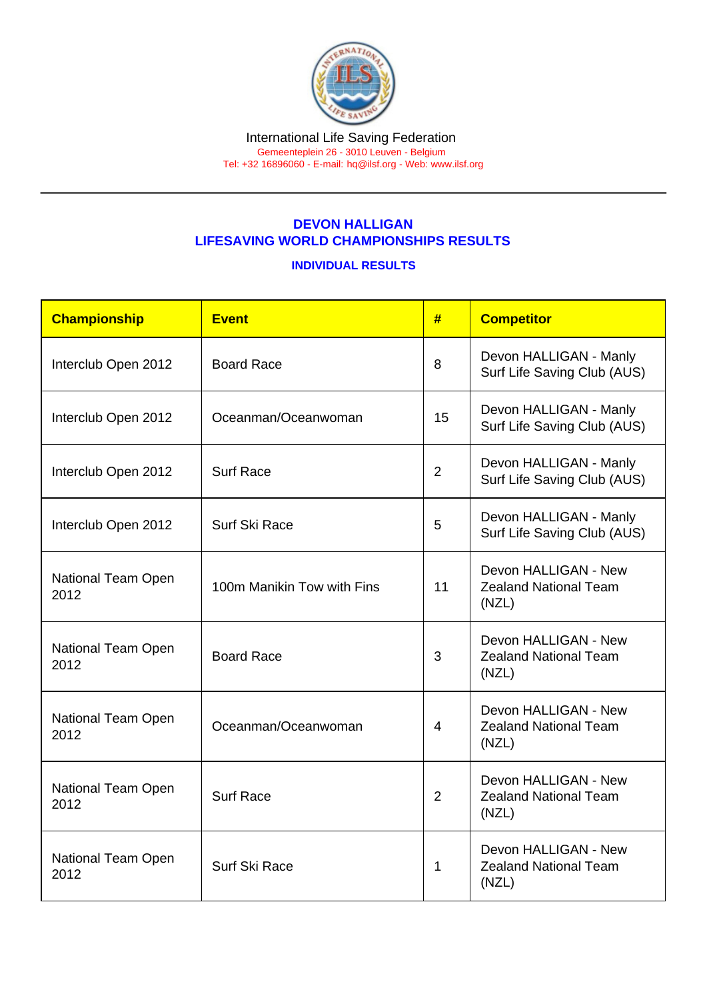## DEVON HALLIGAN LIFESAVING WORLD CHAMPIONSHIPS RESULTS

## INDIVIDUAL RESULTS

| Championship               | Event                      | #              | <b>Competitor</b>                                             |
|----------------------------|----------------------------|----------------|---------------------------------------------------------------|
| Interclub Open 2012        | <b>Board Race</b>          | 8              | Devon HALLIGAN - Manly<br>Surf Life Saving Club (AUS)         |
| Interclub Open 2012        | Oceanman/Oceanwoman        | 15             | Devon HALLIGAN - Manly<br>Surf Life Saving Club (AUS)         |
| Interclub Open 2012        | <b>Surf Race</b>           | $\overline{2}$ | Devon HALLIGAN - Manly<br>Surf Life Saving Club (AUS)         |
| Interclub Open 2012        | Surf Ski Race              | 5              | Devon HALLIGAN - Manly<br>Surf Life Saving Club (AUS)         |
| National Team Open<br>2012 | 100m Manikin Tow with Fins | 11             | Devon HALLIGAN - New<br><b>Zealand National Team</b><br>(NZL) |
| National Team Open<br>2012 | <b>Board Race</b>          | 3              | Devon HALLIGAN - New<br><b>Zealand National Team</b><br>(NZL) |
| National Team Open<br>2012 | Oceanman/Oceanwoman        | $\overline{4}$ | Devon HALLIGAN - New<br><b>Zealand National Team</b><br>(NZL) |
| National Team Open<br>2012 | <b>Surf Race</b>           | $\overline{2}$ | Devon HALLIGAN - New<br><b>Zealand National Team</b><br>(NZL) |
| National Team Open<br>2012 | Surf Ski Race              | 1              | Devon HALLIGAN - New<br><b>Zealand National Team</b><br>(NZL) |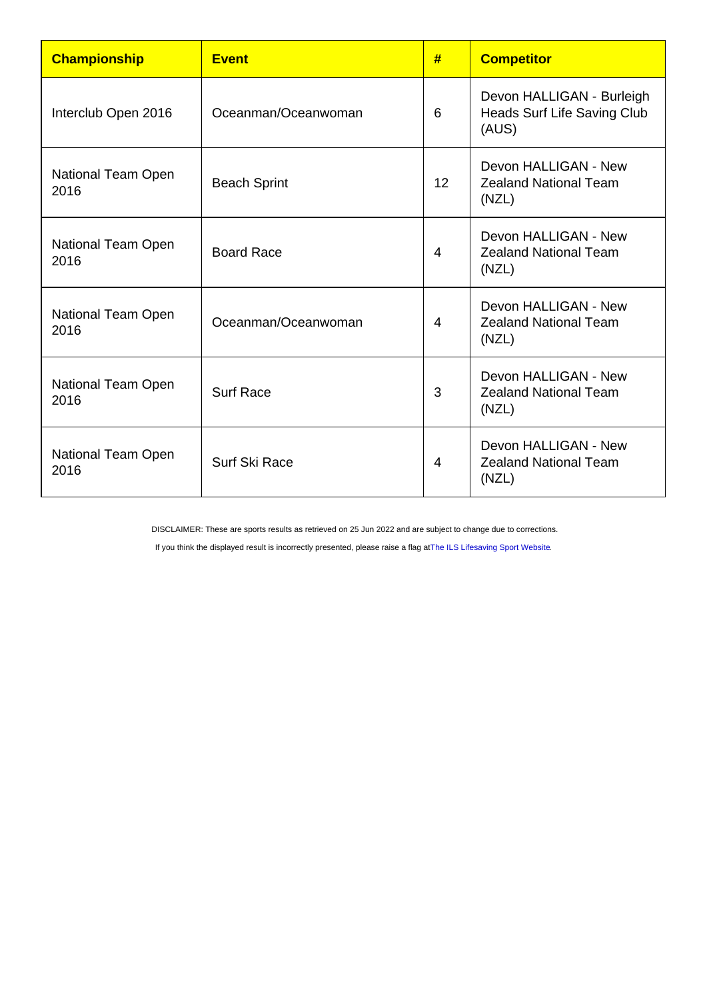| Championship               | <b>Event</b>        | #              | <b>Competitor</b>                                                        |
|----------------------------|---------------------|----------------|--------------------------------------------------------------------------|
| Interclub Open 2016        | Oceanman/Oceanwoman | 6              | Devon HALLIGAN - Burleigh<br><b>Heads Surf Life Saving Club</b><br>(AUS) |
| National Team Open<br>2016 | <b>Beach Sprint</b> | 12             | Devon HALLIGAN - New<br><b>Zealand National Team</b><br>(NZL)            |
| National Team Open<br>2016 | <b>Board Race</b>   | $\overline{4}$ | Devon HALLIGAN - New<br><b>Zealand National Team</b><br>(NZL)            |
| National Team Open<br>2016 | Oceanman/Oceanwoman | 4              | Devon HALLIGAN - New<br><b>Zealand National Team</b><br>(NZL)            |
| National Team Open<br>2016 | <b>Surf Race</b>    | 3              | Devon HALLIGAN - New<br><b>Zealand National Team</b><br>(NZL)            |
| National Team Open<br>2016 | Surf Ski Race       | 4              | Devon HALLIGAN - New<br><b>Zealand National Team</b><br>(NZL)            |

DISCLAIMER: These are sports results as retrieved on 25 Jun 2022 and are subject to change due to corrections.

If you think the displayed result is incorrectly presented, please raise a flag at [The ILS Lifesaving Sport Website.](https://sport.ilsf.org)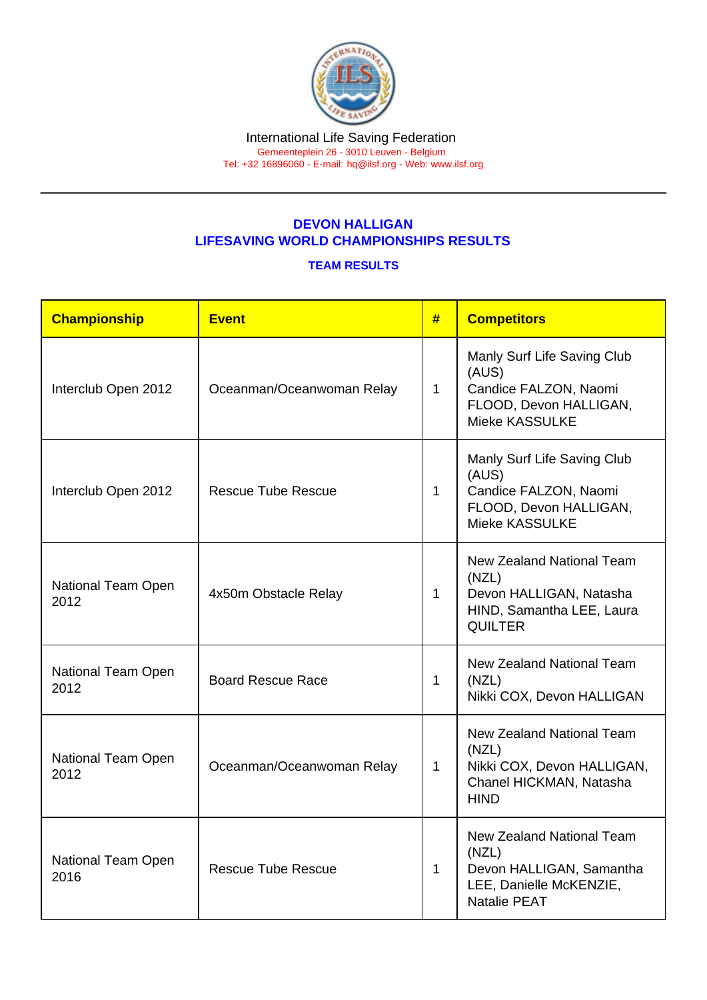## DEVON HALLIGAN LIFESAVING WORLD CHAMPIONSHIPS RESULTS

## TEAM RESULTS

| Championship               | <b>Event</b>              | #            | <b>Competitors</b>                                                                                                      |
|----------------------------|---------------------------|--------------|-------------------------------------------------------------------------------------------------------------------------|
| Interclub Open 2012        | Oceanman/Oceanwoman Relay | $\mathbf 1$  | Manly Surf Life Saving Club<br>(AUS)<br>Candice FALZON, Naomi<br>FLOOD, Devon HALLIGAN,<br>Mieke KASSULKE               |
| Interclub Open 2012        | <b>Rescue Tube Rescue</b> | 1            | Manly Surf Life Saving Club<br>(AUS)<br>Candice FALZON, Naomi<br>FLOOD, Devon HALLIGAN,<br><b>Mieke KASSULKE</b>        |
| National Team Open<br>2012 | 4x50m Obstacle Relay      | $\mathbf{1}$ | New Zealand National Team<br>(NZL)<br>Devon HALLIGAN, Natasha<br>HIND, Samantha LEE, Laura<br><b>QUILTER</b>            |
| National Team Open<br>2012 | <b>Board Rescue Race</b>  | 1            | <b>New Zealand National Team</b><br>(NZL)<br>Nikki COX, Devon HALLIGAN                                                  |
| National Team Open<br>2012 | Oceanman/Oceanwoman Relay | $\mathbf{1}$ | <b>New Zealand National Team</b><br>(NZL)<br>Nikki COX, Devon HALLIGAN,<br>Chanel HICKMAN, Natasha<br><b>HIND</b>       |
| National Team Open<br>2016 | <b>Rescue Tube Rescue</b> | $\mathbf{1}$ | <b>New Zealand National Team</b><br>(NZL)<br>Devon HALLIGAN, Samantha<br>LEE, Danielle McKENZIE,<br><b>Natalie PEAT</b> |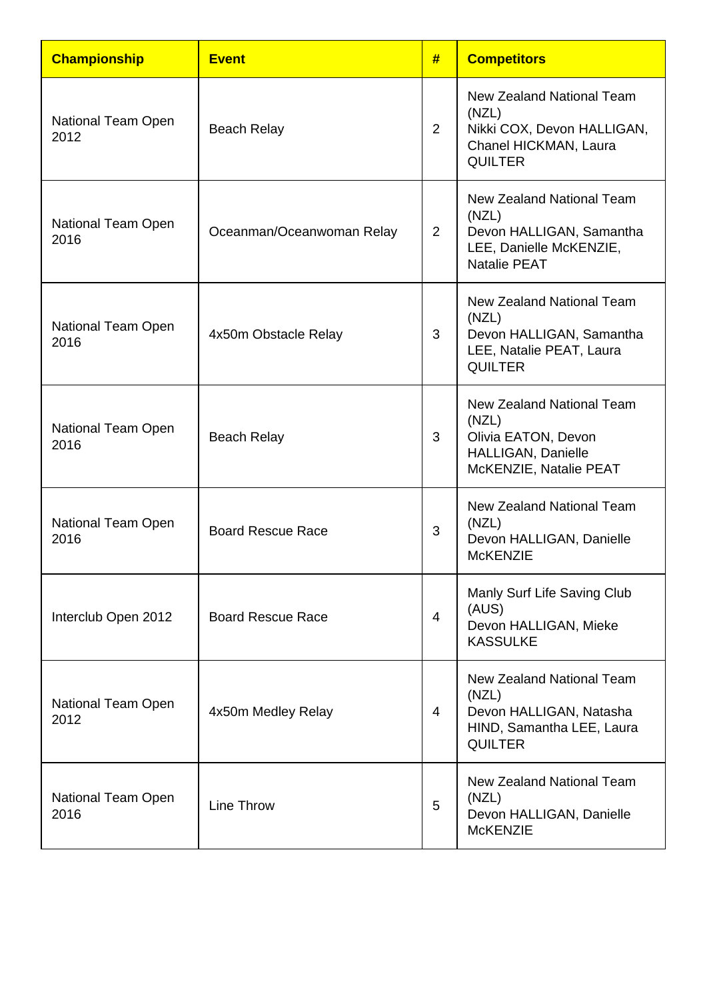| <b>Championship</b>               | <b>Event</b>              | #              | <b>Competitors</b>                                                                                               |
|-----------------------------------|---------------------------|----------------|------------------------------------------------------------------------------------------------------------------|
| <b>National Team Open</b><br>2012 | <b>Beach Relay</b>        | $\overline{2}$ | New Zealand National Team<br>(NZL)<br>Nikki COX, Devon HALLIGAN,<br>Chanel HICKMAN, Laura<br><b>QUILTER</b>      |
| National Team Open<br>2016        | Oceanman/Oceanwoman Relay | $\overline{2}$ | New Zealand National Team<br>(NZL)<br>Devon HALLIGAN, Samantha<br>LEE, Danielle McKENZIE,<br><b>Natalie PEAT</b> |
| National Team Open<br>2016        | 4x50m Obstacle Relay      | 3              | New Zealand National Team<br>(NZL)<br>Devon HALLIGAN, Samantha<br>LEE, Natalie PEAT, Laura<br><b>QUILTER</b>     |
| National Team Open<br>2016        | <b>Beach Relay</b>        | 3              | New Zealand National Team<br>(NZL)<br>Olivia EATON, Devon<br>HALLIGAN, Danielle<br>McKENZIE, Natalie PEAT        |
| National Team Open<br>2016        | <b>Board Rescue Race</b>  | 3              | New Zealand National Team<br>(NZL)<br>Devon HALLIGAN, Danielle<br><b>McKENZIE</b>                                |
| Interclub Open 2012               | <b>Board Rescue Race</b>  | 4              | Manly Surf Life Saving Club<br>(AUS)<br>Devon HALLIGAN, Mieke<br><b>KASSULKE</b>                                 |
| National Team Open<br>2012        | 4x50m Medley Relay        | 4              | New Zealand National Team<br>(NZL)<br>Devon HALLIGAN, Natasha<br>HIND, Samantha LEE, Laura<br><b>QUILTER</b>     |
| National Team Open<br>2016        | Line Throw                | 5              | New Zealand National Team<br>(NZL)<br>Devon HALLIGAN, Danielle<br><b>McKENZIE</b>                                |